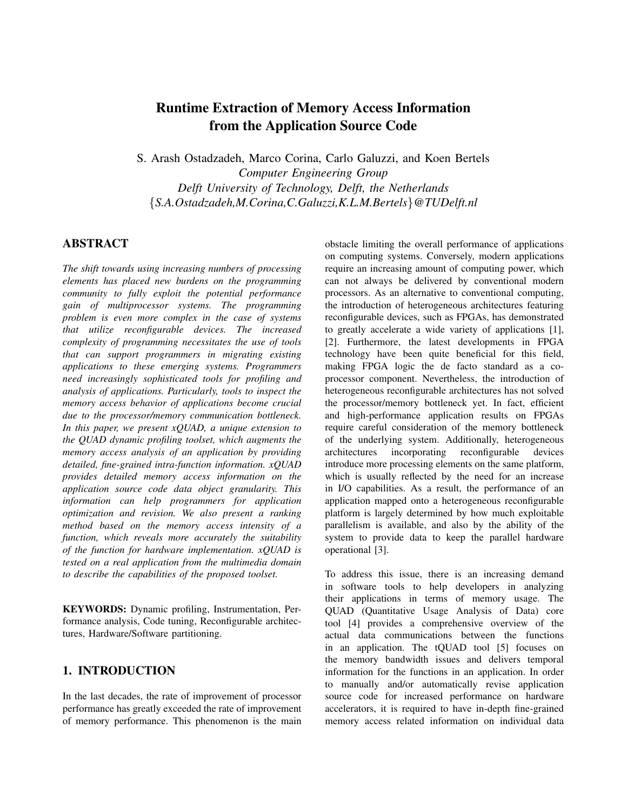# Runtime Extraction of Memory Access Information from the Application Source Code

S. Arash Ostadzadeh, Marco Corina, Carlo Galuzzi, and Koen Bertels *Computer Engineering Group Delft University of Technology, Delft, the Netherlands* {*S.A.Ostadzadeh,M.Corina,C.Galuzzi,K.L.M.Bertels*}*@TUDelft.nl*

# ABSTRACT

*The shift towards using increasing numbers of processing elements has placed new burdens on the programming community to fully exploit the potential performance gain of multiprocessor systems. The programming problem is even more complex in the case of systems that utilize reconfigurable devices. The increased complexity of programming necessitates the use of tools that can support programmers in migrating existing applications to these emerging systems. Programmers need increasingly sophisticated tools for profiling and analysis of applications. Particularly, tools to inspect the memory access behavior of applications become crucial due to the processor/memory communication bottleneck. In this paper, we present xQUAD, a unique extension to the QUAD dynamic profiling toolset, which augments the memory access analysis of an application by providing detailed, fine-grained intra-function information. xQUAD provides detailed memory access information on the application source code data object granularity. This information can help programmers for application optimization and revision. We also present a ranking method based on the memory access intensity of a function, which reveals more accurately the suitability of the function for hardware implementation. xQUAD is tested on a real application from the multimedia domain to describe the capabilities of the proposed toolset.*

KEYWORDS: Dynamic profiling, Instrumentation, Performance analysis, Code tuning, Reconfigurable architectures, Hardware/Software partitioning.

# 1. INTRODUCTION

In the last decades, the rate of improvement of processor performance has greatly exceeded the rate of improvement of memory performance. This phenomenon is the main obstacle limiting the overall performance of applications on computing systems. Conversely, modern applications require an increasing amount of computing power, which can not always be delivered by conventional modern processors. As an alternative to conventional computing, the introduction of heterogeneous architectures featuring reconfigurable devices, such as FPGAs, has demonstrated to greatly accelerate a wide variety of applications [1], [2]. Furthermore, the latest developments in FPGA technology have been quite beneficial for this field, making FPGA logic the de facto standard as a coprocessor component. Nevertheless, the introduction of heterogeneous reconfigurable architectures has not solved the processor/memory bottleneck yet. In fact, efficient and high-performance application results on FPGAs require careful consideration of the memory bottleneck of the underlying system. Additionally, heterogeneous architectures incorporating reconfigurable devices introduce more processing elements on the same platform, which is usually reflected by the need for an increase in I/O capabilities. As a result, the performance of an application mapped onto a heterogeneous reconfigurable platform is largely determined by how much exploitable parallelism is available, and also by the ability of the system to provide data to keep the parallel hardware operational [3].

To address this issue, there is an increasing demand in software tools to help developers in analyzing their applications in terms of memory usage. The QUAD (Quantitative Usage Analysis of Data) core tool [4] provides a comprehensive overview of the actual data communications between the functions in an application. The tQUAD tool [5] focuses on the memory bandwidth issues and delivers temporal information for the functions in an application. In order to manually and/or automatically revise application source code for increased performance on hardware accelerators, it is required to have in-depth fine-grained memory access related information on individual data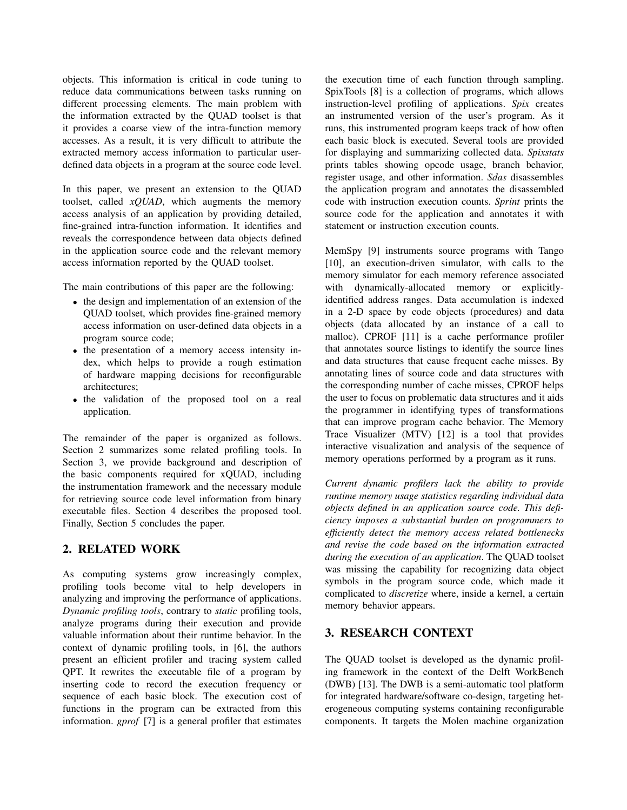objects. This information is critical in code tuning to reduce data communications between tasks running on different processing elements. The main problem with the information extracted by the QUAD toolset is that it provides a coarse view of the intra-function memory accesses. As a result, it is very difficult to attribute the extracted memory access information to particular userdefined data objects in a program at the source code level.

In this paper, we present an extension to the QUAD toolset, called *xQUAD*, which augments the memory access analysis of an application by providing detailed, fine-grained intra-function information. It identifies and reveals the correspondence between data objects defined in the application source code and the relevant memory access information reported by the QUAD toolset.

The main contributions of this paper are the following:

- the design and implementation of an extension of the QUAD toolset, which provides fine-grained memory access information on user-defined data objects in a program source code;
- the presentation of a memory access intensity index, which helps to provide a rough estimation of hardware mapping decisions for reconfigurable architectures;
- the validation of the proposed tool on a real application.

The remainder of the paper is organized as follows. Section 2 summarizes some related profiling tools. In Section 3, we provide background and description of the basic components required for xQUAD, including the instrumentation framework and the necessary module for retrieving source code level information from binary executable files. Section 4 describes the proposed tool. Finally, Section 5 concludes the paper.

# 2. RELATED WORK

As computing systems grow increasingly complex, profiling tools become vital to help developers in analyzing and improving the performance of applications. *Dynamic profiling tools*, contrary to *static* profiling tools, analyze programs during their execution and provide valuable information about their runtime behavior. In the context of dynamic profiling tools, in [6], the authors present an efficient profiler and tracing system called QPT. It rewrites the executable file of a program by inserting code to record the execution frequency or sequence of each basic block. The execution cost of functions in the program can be extracted from this information. *gprof* [7] is a general profiler that estimates

the execution time of each function through sampling. SpixTools [8] is a collection of programs, which allows instruction-level profiling of applications. *Spix* creates an instrumented version of the user's program. As it runs, this instrumented program keeps track of how often each basic block is executed. Several tools are provided for displaying and summarizing collected data. *Spixstats* prints tables showing opcode usage, branch behavior, register usage, and other information. *Sdas* disassembles the application program and annotates the disassembled code with instruction execution counts. *Sprint* prints the source code for the application and annotates it with statement or instruction execution counts.

MemSpy [9] instruments source programs with Tango [10], an execution-driven simulator, with calls to the memory simulator for each memory reference associated with dynamically-allocated memory or explicitlyidentified address ranges. Data accumulation is indexed in a 2-D space by code objects (procedures) and data objects (data allocated by an instance of a call to malloc). CPROF [11] is a cache performance profiler that annotates source listings to identify the source lines and data structures that cause frequent cache misses. By annotating lines of source code and data structures with the corresponding number of cache misses, CPROF helps the user to focus on problematic data structures and it aids the programmer in identifying types of transformations that can improve program cache behavior. The Memory Trace Visualizer (MTV) [12] is a tool that provides interactive visualization and analysis of the sequence of memory operations performed by a program as it runs.

*Current dynamic profilers lack the ability to provide runtime memory usage statistics regarding individual data objects defined in an application source code. This deficiency imposes a substantial burden on programmers to efficiently detect the memory access related bottlenecks and revise the code based on the information extracted during the execution of an application*. The QUAD toolset was missing the capability for recognizing data object symbols in the program source code, which made it complicated to *discretize* where, inside a kernel, a certain memory behavior appears.

# 3. RESEARCH CONTEXT

The QUAD toolset is developed as the dynamic profiling framework in the context of the Delft WorkBench (DWB) [13]. The DWB is a semi-automatic tool platform for integrated hardware/software co-design, targeting heterogeneous computing systems containing reconfigurable components. It targets the Molen machine organization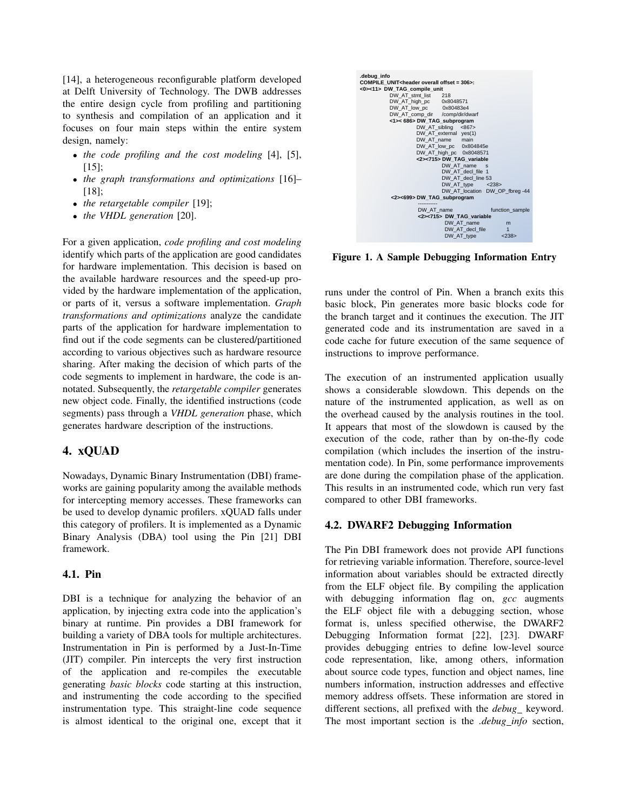[14], a heterogeneous reconfigurable platform developed at Delft University of Technology. The DWB addresses the entire design cycle from profiling and partitioning to synthesis and compilation of an application and it focuses on four main steps within the entire system design, namely:

- *the code profiling and the cost modeling* [4], [5], [15];
- *the graph transformations and optimizations* [16]– [18];
- *the retargetable compiler* [19];
- *the VHDL generation* [20].

For a given application, *code profiling and cost modeling* identify which parts of the application are good candidates for hardware implementation. This decision is based on the available hardware resources and the speed-up provided by the hardware implementation of the application, or parts of it, versus a software implementation. *Graph transformations and optimizations* analyze the candidate parts of the application for hardware implementation to find out if the code segments can be clustered/partitioned according to various objectives such as hardware resource sharing. After making the decision of which parts of the code segments to implement in hardware, the code is annotated. Subsequently, the *retargetable compiler* generates new object code. Finally, the identified instructions (code segments) pass through a *VHDL generation* phase, which generates hardware description of the instructions.

# 4. xQUAD

Nowadays, Dynamic Binary Instrumentation (DBI) frameworks are gaining popularity among the available methods for intercepting memory accesses. These frameworks can be used to develop dynamic profilers. xQUAD falls under this category of profilers. It is implemented as a Dynamic Binary Analysis (DBA) tool using the Pin [21] DBI framework.

# 4.1. Pin

DBI is a technique for analyzing the behavior of an application, by injecting extra code into the application's binary at runtime. Pin provides a DBI framework for building a variety of DBA tools for multiple architectures. Instrumentation in Pin is performed by a Just-In-Time (JIT) compiler. Pin intercepts the very first instruction of the application and re-compiles the executable generating *basic blocks* code starting at this instruction, and instrumenting the code according to the specified instrumentation type. This straight-line code sequence is almost identical to the original one, except that it



Figure 1. A Sample Debugging Information Entry

runs under the control of Pin. When a branch exits this basic block, Pin generates more basic blocks code for the branch target and it continues the execution. The JIT generated code and its instrumentation are saved in a code cache for future execution of the same sequence of instructions to improve performance.

The execution of an instrumented application usually shows a considerable slowdown. This depends on the nature of the instrumented application, as well as on the overhead caused by the analysis routines in the tool. It appears that most of the slowdown is caused by the execution of the code, rather than by on-the-fly code compilation (which includes the insertion of the instrumentation code). In Pin, some performance improvements are done during the compilation phase of the application. This results in an instrumented code, which run very fast compared to other DBI frameworks.

## 4.2. DWARF2 Debugging Information

The Pin DBI framework does not provide API functions for retrieving variable information. Therefore, source-level information about variables should be extracted directly from the ELF object file. By compiling the application with debugging information flag on, *gcc* augments the ELF object file with a debugging section, whose format is, unless specified otherwise, the DWARF2 Debugging Information format [22], [23]. DWARF provides debugging entries to define low-level source code representation, like, among others, information about source code types, function and object names, line numbers information, instruction addresses and effective memory address offsets. These information are stored in different sections, all prefixed with the *debug* keyword. The most important section is the *.debug info* section,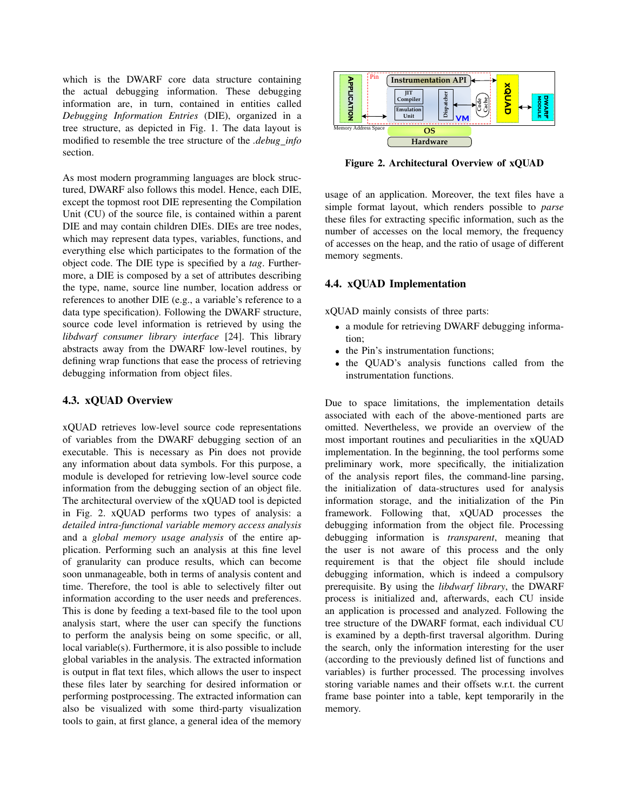which is the DWARF core data structure containing the actual debugging information. These debugging information are, in turn, contained in entities called *Debugging Information Entries* (DIE), organized in a tree structure, as depicted in Fig. 1. The data layout is modified to resemble the tree structure of the *.debug info* section.

As most modern programming languages are block structured, DWARF also follows this model. Hence, each DIE, except the topmost root DIE representing the Compilation Unit (CU) of the source file, is contained within a parent DIE and may contain children DIEs. DIEs are tree nodes, which may represent data types, variables, functions, and everything else which participates to the formation of the object code. The DIE type is specified by a *tag*. Furthermore, a DIE is composed by a set of attributes describing the type, name, source line number, location address or references to another DIE (e.g., a variable's reference to a data type specification). Following the DWARF structure, source code level information is retrieved by using the *libdwarf consumer library interface* [24]. This library abstracts away from the DWARF low-level routines, by defining wrap functions that ease the process of retrieving debugging information from object files.

### 4.3. xQUAD Overview

xQUAD retrieves low-level source code representations of variables from the DWARF debugging section of an executable. This is necessary as Pin does not provide any information about data symbols. For this purpose, a module is developed for retrieving low-level source code information from the debugging section of an object file. The architectural overview of the xQUAD tool is depicted in Fig. 2. xQUAD performs two types of analysis: a *detailed intra-functional variable memory access analysis* and a *global memory usage analysis* of the entire application. Performing such an analysis at this fine level of granularity can produce results, which can become soon unmanageable, both in terms of analysis content and time. Therefore, the tool is able to selectively filter out information according to the user needs and preferences. This is done by feeding a text-based file to the tool upon analysis start, where the user can specify the functions to perform the analysis being on some specific, or all, local variable(s). Furthermore, it is also possible to include global variables in the analysis. The extracted information is output in flat text files, which allows the user to inspect these files later by searching for desired information or performing postprocessing. The extracted information can also be visualized with some third-party visualization tools to gain, at first glance, a general idea of the memory



Figure 2. Architectural Overview of xQUAD

usage of an application. Moreover, the text files have a simple format layout, which renders possible to *parse* these files for extracting specific information, such as the number of accesses on the local memory, the frequency of accesses on the heap, and the ratio of usage of different memory segments.

## 4.4. xQUAD Implementation

xQUAD mainly consists of three parts:

- a module for retrieving DWARF debugging information;
- the Pin's instrumentation functions:
- the QUAD's analysis functions called from the instrumentation functions.

Due to space limitations, the implementation details associated with each of the above-mentioned parts are omitted. Nevertheless, we provide an overview of the most important routines and peculiarities in the xQUAD implementation. In the beginning, the tool performs some preliminary work, more specifically, the initialization of the analysis report files, the command-line parsing, the initialization of data-structures used for analysis information storage, and the initialization of the Pin framework. Following that, xQUAD processes the debugging information from the object file. Processing debugging information is *transparent*, meaning that the user is not aware of this process and the only requirement is that the object file should include debugging information, which is indeed a compulsory prerequisite. By using the *libdwarf library*, the DWARF process is initialized and, afterwards, each CU inside an application is processed and analyzed. Following the tree structure of the DWARF format, each individual CU is examined by a depth-first traversal algorithm. During the search, only the information interesting for the user (according to the previously defined list of functions and variables) is further processed. The processing involves storing variable names and their offsets w.r.t. the current frame base pointer into a table, kept temporarily in the memory.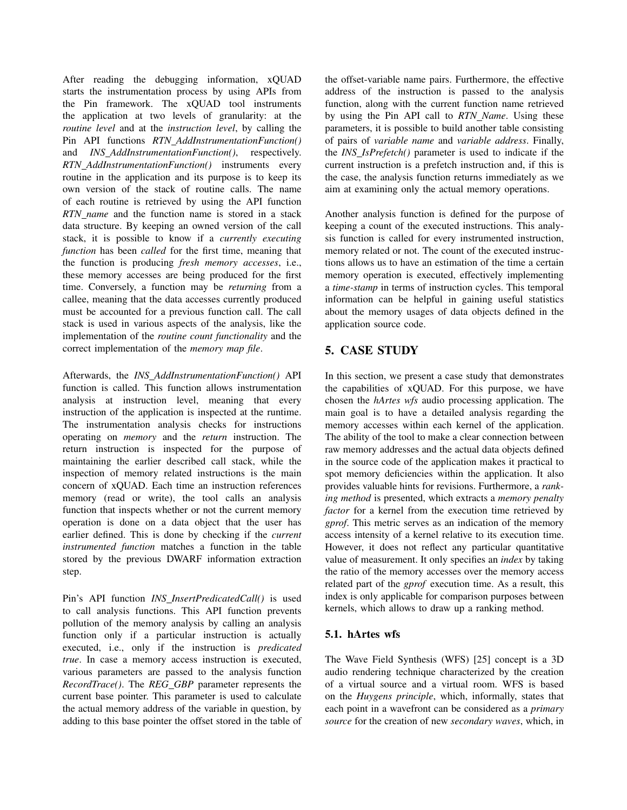After reading the debugging information, xQUAD starts the instrumentation process by using APIs from the Pin framework. The xQUAD tool instruments the application at two levels of granularity: at the *routine level* and at the *instruction level*, by calling the Pin API functions *RTN AddInstrumentationFunction()* and *INS AddInstrumentationFunction()*, respectively. *RTN AddInstrumentationFunction()* instruments every routine in the application and its purpose is to keep its own version of the stack of routine calls. The name of each routine is retrieved by using the API function *RTN name* and the function name is stored in a stack data structure. By keeping an owned version of the call stack, it is possible to know if a *currently executing function* has been *called* for the first time, meaning that the function is producing *fresh memory accesses*, i.e., these memory accesses are being produced for the first time. Conversely, a function may be *returning* from a callee, meaning that the data accesses currently produced must be accounted for a previous function call. The call stack is used in various aspects of the analysis, like the implementation of the *routine count functionality* and the correct implementation of the *memory map file*.

Afterwards, the *INS AddInstrumentationFunction()* API function is called. This function allows instrumentation analysis at instruction level, meaning that every instruction of the application is inspected at the runtime. The instrumentation analysis checks for instructions operating on *memory* and the *return* instruction. The return instruction is inspected for the purpose of maintaining the earlier described call stack, while the inspection of memory related instructions is the main concern of xQUAD. Each time an instruction references memory (read or write), the tool calls an analysis function that inspects whether or not the current memory operation is done on a data object that the user has earlier defined. This is done by checking if the *current instrumented function* matches a function in the table stored by the previous DWARF information extraction step.

Pin's API function *INS InsertPredicatedCall()* is used to call analysis functions. This API function prevents pollution of the memory analysis by calling an analysis function only if a particular instruction is actually executed, i.e., only if the instruction is *predicated true*. In case a memory access instruction is executed, various parameters are passed to the analysis function *RecordTrace()*. The *REG GBP* parameter represents the current base pointer. This parameter is used to calculate the actual memory address of the variable in question, by adding to this base pointer the offset stored in the table of the offset-variable name pairs. Furthermore, the effective address of the instruction is passed to the analysis function, along with the current function name retrieved by using the Pin API call to *RTN Name*. Using these parameters, it is possible to build another table consisting of pairs of *variable name* and *variable address*. Finally, the *INS IsPrefetch()* parameter is used to indicate if the current instruction is a prefetch instruction and, if this is the case, the analysis function returns immediately as we aim at examining only the actual memory operations.

Another analysis function is defined for the purpose of keeping a count of the executed instructions. This analysis function is called for every instrumented instruction, memory related or not. The count of the executed instructions allows us to have an estimation of the time a certain memory operation is executed, effectively implementing a *time-stamp* in terms of instruction cycles. This temporal information can be helpful in gaining useful statistics about the memory usages of data objects defined in the application source code.

# 5. CASE STUDY

In this section, we present a case study that demonstrates the capabilities of xQUAD. For this purpose, we have chosen the *hArtes wfs* audio processing application. The main goal is to have a detailed analysis regarding the memory accesses within each kernel of the application. The ability of the tool to make a clear connection between raw memory addresses and the actual data objects defined in the source code of the application makes it practical to spot memory deficiencies within the application. It also provides valuable hints for revisions. Furthermore, a *ranking method* is presented, which extracts a *memory penalty factor* for a kernel from the execution time retrieved by *gprof*. This metric serves as an indication of the memory access intensity of a kernel relative to its execution time. However, it does not reflect any particular quantitative value of measurement. It only specifies an *index* by taking the ratio of the memory accesses over the memory access related part of the *gprof* execution time. As a result, this index is only applicable for comparison purposes between kernels, which allows to draw up a ranking method.

### 5.1. hArtes wfs

The Wave Field Synthesis (WFS) [25] concept is a 3D audio rendering technique characterized by the creation of a virtual source and a virtual room. WFS is based on the *Huygens principle*, which, informally, states that each point in a wavefront can be considered as a *primary source* for the creation of new *secondary waves*, which, in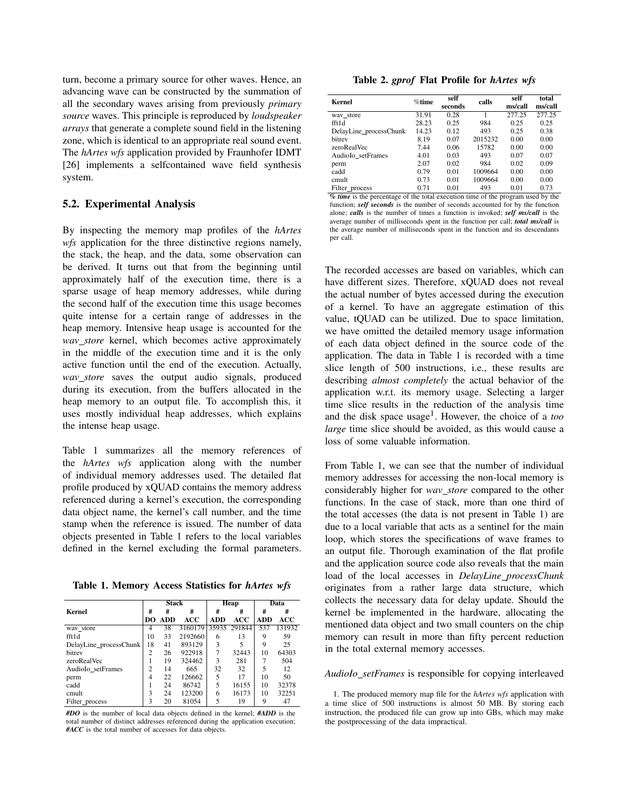turn, become a primary source for other waves. Hence, an advancing wave can be constructed by the summation of all the secondary waves arising from previously *primary source* waves. This principle is reproduced by *loudspeaker arrays* that generate a complete sound field in the listening zone, which is identical to an appropriate real sound event. The *hArtes wfs* application provided by Fraunhofer IDMT [26] implements a selfcontained wave field synthesis system.

#### 5.2. Experimental Analysis

By inspecting the memory map profiles of the *hArtes wfs* application for the three distinctive regions namely, the stack, the heap, and the data, some observation can be derived. It turns out that from the beginning until approximately half of the execution time, there is a sparse usage of heap memory addresses, while during the second half of the execution time this usage becomes quite intense for a certain range of addresses in the heap memory. Intensive heap usage is accounted for the *wav store* kernel, which becomes active approximately in the middle of the execution time and it is the only active function until the end of the execution. Actually, *wav store* saves the output audio signals, produced during its execution, from the buffers allocated in the heap memory to an output file. To accomplish this, it uses mostly individual heap addresses, which explains the intense heap usage.

Table 1 summarizes all the memory references of the *hArtes wfs* application along with the number of individual memory addresses used. The detailed flat profile produced by xQUAD contains the memory address referenced during a kernel's execution, the corresponding data object name, the kernel's call number, and the time stamp when the reference is issued. The number of data objects presented in Table 1 refers to the local variables defined in the kernel excluding the formal parameters.

Table 1. Memory Access Statistics for *hArtes wfs*

|                        | <b>Stack</b>   |     |         | Heap |              | Data       |        |
|------------------------|----------------|-----|---------|------|--------------|------------|--------|
| Kernel                 | #              | #   | #       | #    | #            | #          | #      |
|                        | DO.            | ADD | ACC     | ADD  | ACC          | <b>ADD</b> | ACC    |
| way store              | 4              | 38  | 3160179 |      | 35935 291844 | 537        | 131932 |
| fft1d                  | 10             | 33  | 2192660 | 6    | 13           | 9          | 59     |
| DelayLine_processChunk | 18             | 41  | 893129  | 3    | 5            | 9          | 25     |
| bitrev                 | $\overline{c}$ | 26  | 922918  | 7    | 32443        | 10         | 64303  |
| zeroRealVec            |                | 19  | 324462  | 3    | 281          | 7          | 504    |
| AudioIo setFrames      | $\overline{c}$ | 14  | 665     | 32   | 32           | 5          | 12     |
| perm                   | 4              | 22  | 126662  | 5    | 17           | 10         | 50     |
| cadd                   |                | 24  | 86742   | 5    | 16155        | 10         | 32378  |
| cmult                  | 3              | 24  | 123200  | 6    | 16173        | 10         | 32251  |
| Filter_process         | 3              | 20  | 81054   | 5    | 19           | 9          | 47     |

*#DO* is the number of local data objects defined in the kernel; *#ADD* is the total number of distinct addresses referenced during the application execution; *#ACC* is the total number of accesses for data objects.

Table 2. *gprof* Flat Profile for *hArtes wfs*

| <b>Kernel</b>          | %time | self<br>seconds | calls   | self<br>ms/call | total<br>ms/call |
|------------------------|-------|-----------------|---------|-----------------|------------------|
| wav_store              | 31.91 | 0.28            |         | 277.25          | 277.25           |
| fft1d                  | 28.23 | 0.25            | 984     | 0.25            | 0.25             |
| DelayLine_processChunk | 14.23 | 0.12            | 493     | 0.25            | 0.38             |
| bitrev                 | 8.19  | 0.07            | 2015232 | 0.00            | 0.00             |
| zeroRealVec            | 7.44  | 0.06            | 15782   | 0.00            | 0.00             |
| AudioIo setFrames      | 4.01  | 0.03            | 493     | 0.07            | 0.07             |
| perm                   | 2.07  | 0.02            | 984     | 0.02            | 0.09             |
| cadd                   | 0.79  | 0.01            | 1009664 | 0.00            | 0.00             |
| cmult                  | 0.73  | 0.01            | 1009664 | 0.00            | 0.00             |
| Filter_process         | 0.71  | 0.01            | 493     | 0.01            | 0.73             |

*% time* is the percentage of the total execution time of the program used by the function; *self seconds* is the number of seconds accounted for by the function alone; *calls* is the number of times a function is invoked; *self ms/call* is the average number of milliseconds spent in the function per call; *total ms/call* is the average number of milliseconds spent in the function and its descendants per call.

The recorded accesses are based on variables, which can have different sizes. Therefore, xQUAD does not reveal the actual number of bytes accessed during the execution of a kernel. To have an aggregate estimation of this value, tQUAD can be utilized. Due to space limitation, we have omitted the detailed memory usage information of each data object defined in the source code of the application. The data in Table 1 is recorded with a time slice length of 500 instructions, i.e., these results are describing *almost completely* the actual behavior of the application w.r.t. its memory usage. Selecting a larger time slice results in the reduction of the analysis time and the disk space usage<sup>1</sup>. However, the choice of a *too large* time slice should be avoided, as this would cause a loss of some valuable information.

From Table 1, we can see that the number of individual memory addresses for accessing the non-local memory is considerably higher for *wav store* compared to the other functions. In the case of stack, more than one third of the total accesses (the data is not present in Table 1) are due to a local variable that acts as a sentinel for the main loop, which stores the specifications of wave frames to an output file. Thorough examination of the flat profile and the application source code also reveals that the main load of the local accesses in *DelayLine processChunk* originates from a rather large data structure, which collects the necessary data for delay update. Should the kernel be implemented in the hardware, allocating the mentioned data object and two small counters on the chip memory can result in more than fifty percent reduction in the total external memory accesses.

#### *AudioIo setFrames* is responsible for copying interleaved

1. The produced memory map file for the *hArtes wfs* application with a time slice of 500 instructions is almost 50 MB. By storing each instruction, the produced file can grow up into GBs, which may make the postprocessing of the data impractical.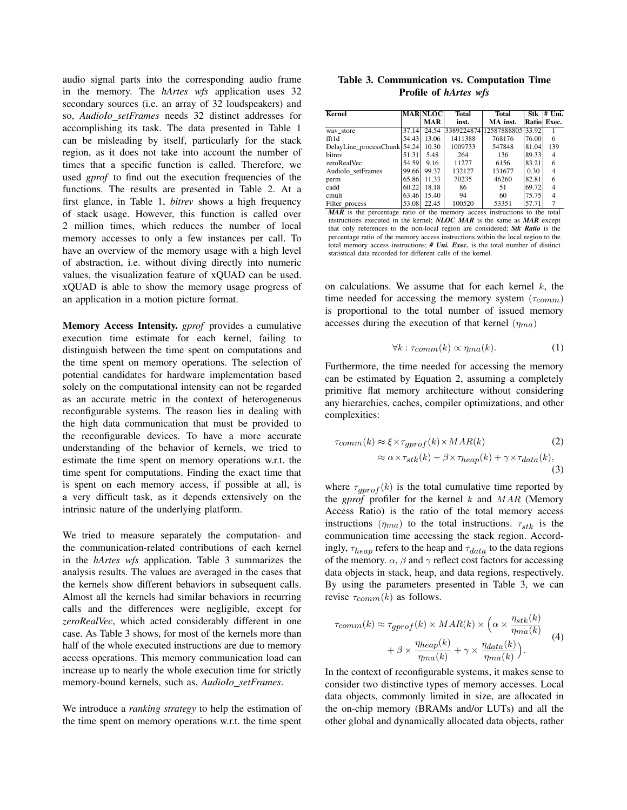audio signal parts into the corresponding audio frame in the memory. The *hArtes wfs* application uses 32 secondary sources (i.e. an array of 32 loudspeakers) and so, *AudioIo setFrames* needs 32 distinct addresses for accomplishing its task. The data presented in Table 1 can be misleading by itself, particularly for the stack region, as it does not take into account the number of times that a specific function is called. Therefore, we used *gprof* to find out the execution frequencies of the functions. The results are presented in Table 2. At a first glance, in Table 1, *bitrev* shows a high frequency of stack usage. However, this function is called over 2 million times, which reduces the number of local memory accesses to only a few instances per call. To have an overview of the memory usage with a high level of abstraction, i.e. without diving directly into numeric values, the visualization feature of xQUAD can be used. xQUAD is able to show the memory usage progress of an application in a motion picture format.

Memory Access Intensity. *gprof* provides a cumulative execution time estimate for each kernel, failing to distinguish between the time spent on computations and the time spent on memory operations. The selection of potential candidates for hardware implementation based solely on the computational intensity can not be regarded as an accurate metric in the context of heterogeneous reconfigurable systems. The reason lies in dealing with the high data communication that must be provided to the reconfigurable devices. To have a more accurate understanding of the behavior of kernels, we tried to estimate the time spent on memory operations w.r.t. the time spent for computations. Finding the exact time that is spent on each memory access, if possible at all, is a very difficult task, as it depends extensively on the intrinsic nature of the underlying platform.

We tried to measure separately the computation- and the communication-related contributions of each kernel in the *hArtes wfs* application. Table 3 summarizes the analysis results. The values are averaged in the cases that the kernels show different behaviors in subsequent calls. Almost all the kernels had similar behaviors in recurring calls and the differences were negligible, except for *zeroRealVec*, which acted considerably different in one case. As Table 3 shows, for most of the kernels more than half of the whole executed instructions are due to memory access operations. This memory communication load can increase up to nearly the whole execution time for strictly memory-bound kernels, such as, *AudioIo setFrames*.

We introduce a *ranking strategy* to help the estimation of the time spent on memory operations w.r.t. the time spent

Table 3. Communication vs. Computation Time Profile of *hArtes wfs*

| Kernel                       |                    | <b>MAR NLOC</b> | Total   | Total                        | <b>Stk</b> | # Uni.         |
|------------------------------|--------------------|-----------------|---------|------------------------------|------------|----------------|
|                              |                    | <b>MAR</b>      | inst.   | MA inst.                     |            | Ratio Exec.    |
| wav_store                    | $\overline{37.14}$ | 24.54           |         | 3389224874 12587888805 33.92 |            |                |
| fft1d                        | 54.43              | 13.06           | 1411388 | 768176                       | 76.00      | 6              |
| DelayLine_processChunk 54.24 |                    | 10.30           | 1009733 | 547848                       | 81.04      | 139            |
| bitrey                       | 51.31              | 5.48            | 264     | 136                          | 89.33      | 4              |
| zeroRealVec                  | 54.59              | 9.16            | 11277   | 6156                         | 83.21      | 6              |
| AudioIo setFrames            | 99.66              | 99.37           | 132127  | 131677                       | 0.30       | 4              |
| perm                         | 65.86              | 11.33           | 70235   | 46260                        | 82.81      | 6              |
| cadd                         | 60.22              | 18.18           | 86      | 51                           | 69.72      | $\overline{4}$ |
| cmult.                       | 63.46              | 15.40           | 94      | 60                           | 75.75      | 4              |
| Filter_process               | 53.08              | 22.45           | 100520  | 53351                        | 57.71      |                |

*MAR* is the percentage ratio of the memory access instructions to the total instructions executed in the kernel; *NLOC MAR* is the same as *MAR* except that only references to the non-local region are considered; *Stk Ratio* is the percentage ratio of the memory access instructions within the local region to the total memory access instructions; *# Uni. Exec.* is the total number of distinct statistical data recorded for different calls of the kernel.

on calculations. We assume that for each kernel  $k$ , the time needed for accessing the memory system  $(\tau_{comm})$ is proportional to the total number of issued memory accesses during the execution of that kernel  $(\eta_{ma})$ 

$$
\forall k : \tau_{comm}(k) \propto \eta_{ma}(k). \tag{1}
$$

Furthermore, the time needed for accessing the memory can be estimated by Equation 2, assuming a completely primitive flat memory architecture without considering any hierarchies, caches, compiler optimizations, and other complexities:

$$
\tau_{comm}(k) \approx \xi \times \tau_{gprof}(k) \times MAR(k)
$$
\n
$$
\approx \alpha \times \tau_{stk}(k) + \beta \times \tau_{heap}(k) + \gamma \times \tau_{data}(k),
$$
\n(3)

where  $\tau_{qprof}(k)$  is the total cumulative time reported by the *gprof* profiler for the kernel  $k$  and  $MAR$  (Memory Access Ratio) is the ratio of the total memory access instructions ( $\eta_{ma}$ ) to the total instructions.  $\tau_{stk}$  is the communication time accessing the stack region. Accordingly,  $\tau_{heap}$  refers to the heap and  $\tau_{data}$  to the data regions of the memory.  $\alpha$ ,  $\beta$  and  $\gamma$  reflect cost factors for accessing data objects in stack, heap, and data regions, respectively. By using the parameters presented in Table 3, we can revise  $\tau_{comm}(k)$  as follows.

$$
\tau_{comm}(k) \approx \tau_{gprof}(k) \times MAR(k) \times \left(\alpha \times \frac{\eta_{stk}(k)}{\eta_{ma}(k)} + \beta \times \frac{\eta_{heap}(k)}{\eta_{ma}(k)} + \gamma \times \frac{\eta_{data}(k)}{\eta_{ma}(k)}\right). \tag{4}
$$

In the context of reconfigurable systems, it makes sense to consider two distinctive types of memory accesses. Local data objects, commonly limited in size, are allocated in the on-chip memory (BRAMs and/or LUTs) and all the other global and dynamically allocated data objects, rather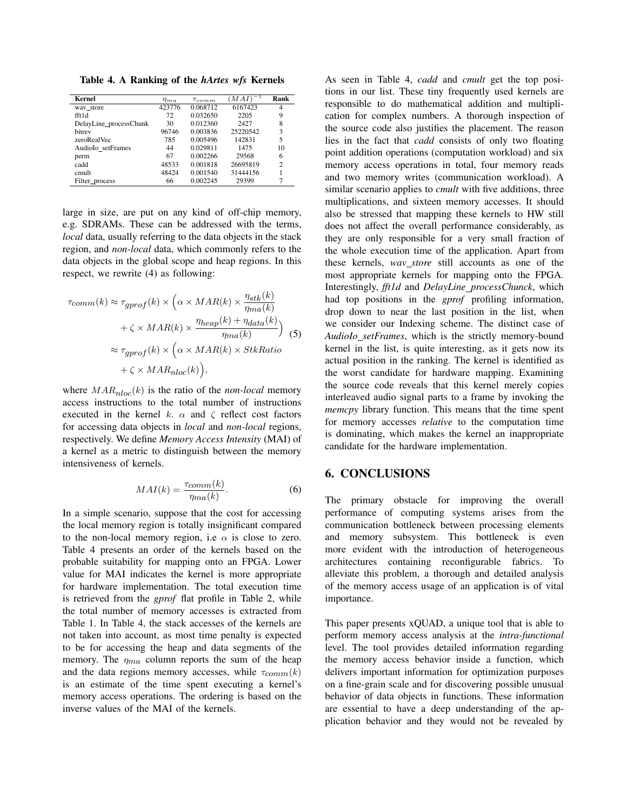Table 4. A Ranking of the *hArtes wfs* Kernels

| Kernel                 | $\eta_{ma}$ | $\tau_{comm}$ | МAI      | Rank           |
|------------------------|-------------|---------------|----------|----------------|
| way store              | 423776      | 0.068712      | 6167423  | 4              |
| fft1d                  | 72          | 0.032650      | 2205     | 9              |
| DelayLine processChunk | 30          | 0.012360      | 2427     | 8              |
| bitrey                 | 96746       | 0.003836      | 25220542 | 3              |
| zeroRealVec            | 785         | 0.005496      | 142831   | 5              |
| AudioIo_setFrames      | 44          | 0.029811      | 1475     | 10             |
| perm                   | 67          | 0.002266      | 29568    | 6              |
| cadd                   | 48533       | 0.001818      | 26695819 | $\overline{c}$ |
| cmult                  | 48424       | 0.001540      | 31444156 |                |
| Filter process         | 66          | 0.002245      | 29399    |                |

large in size, are put on any kind of off-chip memory, e.g. SDRAMs. These can be addressed with the terms, *local* data, usually referring to the data objects in the stack region, and *non-local* data, which commonly refers to the data objects in the global scope and heap regions. In this respect, we rewrite (4) as following:

$$
\tau_{comm}(k) \approx \tau_{gprof}(k) \times \left(\alpha \times MAR(k) \times \frac{\eta_{stk}(k)}{\eta_{ma}(k)} + \zeta \times MAR(k) \times \frac{\eta_{heap}(k) + \eta_{data}(k)}{\eta_{ma}(k)}\right) \tag{5}
$$

$$
\approx \tau_{gprof}(k) \times \left(\alpha \times MAR(k) \times StkRatio + \zeta \times MAR_{hloc}(k)\right),
$$

where  $MAR_{nloc}(k)$  is the ratio of the *non-local* memory access instructions to the total number of instructions executed in the kernel k.  $\alpha$  and  $\zeta$  reflect cost factors for accessing data objects in *local* and *non-local* regions, respectively. We define *Memory Access Intensity* (MAI) of a kernel as a metric to distinguish between the memory intensiveness of kernels.

$$
MAI(k) = \frac{\tau_{comm}(k)}{\eta_{ma}(k)}.
$$
 (6)

In a simple scenario, suppose that the cost for accessing the local memory region is totally insignificant compared to the non-local memory region, i.e  $\alpha$  is close to zero. Table 4 presents an order of the kernels based on the probable suitability for mapping onto an FPGA. Lower value for MAI indicates the kernel is more appropriate for hardware implementation. The total execution time is retrieved from the *gprof* flat profile in Table 2, while the total number of memory accesses is extracted from Table 1. In Table 4, the stack accesses of the kernels are not taken into account, as most time penalty is expected to be for accessing the heap and data segments of the memory. The  $\eta_{ma}$  column reports the sum of the heap and the data regions memory accesses, while  $\tau_{comm}(k)$ is an estimate of the time spent executing a kernel's memory access operations. The ordering is based on the inverse values of the MAI of the kernels.

As seen in Table 4, *cadd* and *cmult* get the top positions in our list. These tiny frequently used kernels are responsible to do mathematical addition and multiplication for complex numbers. A thorough inspection of the source code also justifies the placement. The reason lies in the fact that *cadd* consists of only two floating point addition operations (computation workload) and six memory access operations in total, four memory reads and two memory writes (communication workload). A similar scenario applies to *cmult* with five additions, three multiplications, and sixteen memory accesses. It should also be stressed that mapping these kernels to HW still does not affect the overall performance considerably, as they are only responsible for a very small fraction of the whole execution time of the application. Apart from these kernels, *wav store* still accounts as one of the most appropriate kernels for mapping onto the FPGA. Interestingly, *fft1d* and *DelayLine processChunck*, which had top positions in the *gprof* profiling information, drop down to near the last position in the list, when we consider our Indexing scheme. The distinct case of *AudioIo setFrames*, which is the strictly memory-bound kernel in the list, is quite interesting, as it gets now its actual position in the ranking. The kernel is identified as the worst candidate for hardware mapping. Examining the source code reveals that this kernel merely copies interleaved audio signal parts to a frame by invoking the *memcpy* library function. This means that the time spent for memory accesses *relative* to the computation time is dominating, which makes the kernel an inappropriate candidate for the hardware implementation.

# 6. CONCLUSIONS

The primary obstacle for improving the overall performance of computing systems arises from the communication bottleneck between processing elements and memory subsystem. This bottleneck is even more evident with the introduction of heterogeneous architectures containing reconfigurable fabrics. To alleviate this problem, a thorough and detailed analysis of the memory access usage of an application is of vital importance.

This paper presents xQUAD, a unique tool that is able to perform memory access analysis at the *intra-functional* level. The tool provides detailed information regarding the memory access behavior inside a function, which delivers important information for optimization purposes on a fine-grain scale and for discovering possible unusual behavior of data objects in functions. These information are essential to have a deep understanding of the application behavior and they would not be revealed by